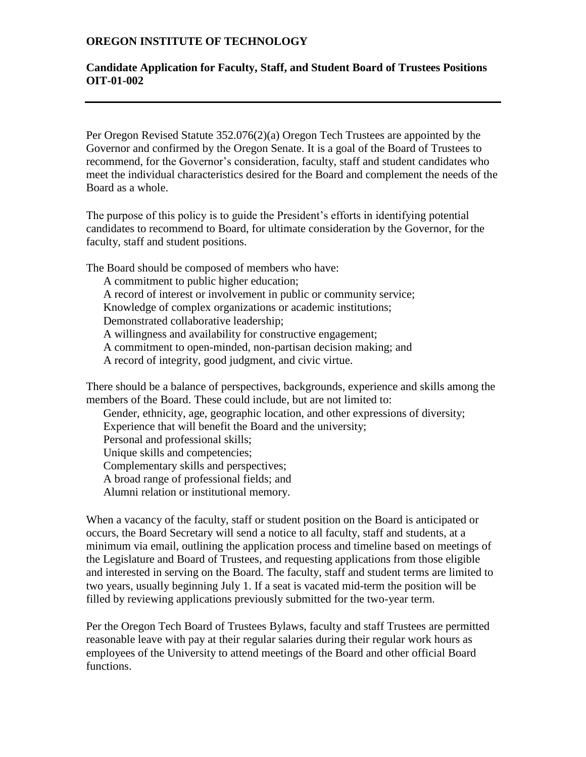### **OREGON INSTITUTE OF TECHNOLOGY**

#### **Candidate Application for Faculty, Staff, and Student Board of Trustees Positions OIT-01-002**

Per Oregon Revised Statute 352.076(2)(a) Oregon Tech Trustees are appointed by the Governor and confirmed by the Oregon Senate. It is a goal of the Board of Trustees to recommend, for the Governor's consideration, faculty, staff and student candidates who meet the individual characteristics desired for the Board and complement the needs of the Board as a whole.

The purpose of this policy is to guide the President's efforts in identifying potential candidates to recommend to Board, for ultimate consideration by the Governor, for the faculty, staff and student positions.

The Board should be composed of members who have:

- A commitment to public higher education;
- A record of interest or involvement in public or community service;

Knowledge of complex organizations or academic institutions;

Demonstrated collaborative leadership;

A willingness and availability for constructive engagement;

A commitment to open-minded, non-partisan decision making; and

A record of integrity, good judgment, and civic virtue.

There should be a balance of perspectives, backgrounds, experience and skills among the members of the Board. These could include, but are not limited to:

Gender, ethnicity, age, geographic location, and other expressions of diversity;

Experience that will benefit the Board and the university;

Personal and professional skills;

Unique skills and competencies;

Complementary skills and perspectives;

A broad range of professional fields; and

Alumni relation or institutional memory.

When a vacancy of the faculty, staff or student position on the Board is anticipated or occurs, the Board Secretary will send a notice to all faculty, staff and students, at a minimum via email, outlining the application process and timeline based on meetings of the Legislature and Board of Trustees, and requesting applications from those eligible and interested in serving on the Board. The faculty, staff and student terms are limited to two years, usually beginning July 1. If a seat is vacated mid-term the position will be filled by reviewing applications previously submitted for the two-year term.

Per the Oregon Tech Board of Trustees Bylaws, faculty and staff Trustees are permitted reasonable leave with pay at their regular salaries during their regular work hours as employees of the University to attend meetings of the Board and other official Board functions.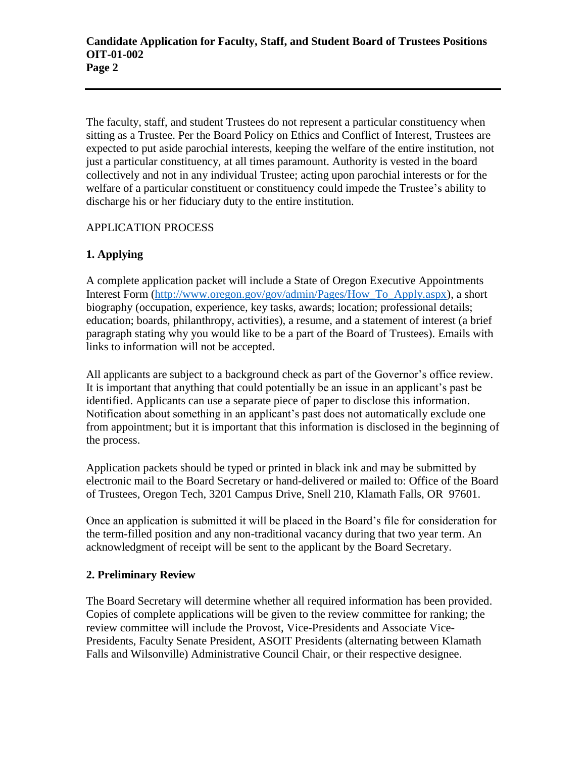The faculty, staff, and student Trustees do not represent a particular constituency when sitting as a Trustee. Per the Board Policy on Ethics and Conflict of Interest, Trustees are expected to put aside parochial interests, keeping the welfare of the entire institution, not just a particular constituency, at all times paramount. Authority is vested in the board collectively and not in any individual Trustee; acting upon parochial interests or for the welfare of a particular constituent or constituency could impede the Trustee's ability to discharge his or her fiduciary duty to the entire institution.

## APPLICATION PROCESS

# **1. Applying**

A complete application packet will include a State of Oregon Executive Appointments Interest Form [\(http://www.oregon.gov/gov/admin/Pages/How\\_To\\_Apply.aspx\)](http://www.oregon.gov/gov/admin/Pages/How_To_Apply.aspx), a short biography (occupation, experience, key tasks, awards; location; professional details; education; boards, philanthropy, activities), a resume, and a statement of interest (a brief paragraph stating why you would like to be a part of the Board of Trustees). Emails with links to information will not be accepted.

All applicants are subject to a background check as part of the Governor's office review. It is important that anything that could potentially be an issue in an applicant's past be identified. Applicants can use a separate piece of paper to disclose this information. Notification about something in an applicant's past does not automatically exclude one from appointment; but it is important that this information is disclosed in the beginning of the process.

Application packets should be typed or printed in black ink and may be submitted by electronic mail to the Board Secretary or hand-delivered or mailed to: Office of the Board of Trustees, Oregon Tech, 3201 Campus Drive, Snell 210, Klamath Falls, OR 97601.

Once an application is submitted it will be placed in the Board's file for consideration for the term-filled position and any non-traditional vacancy during that two year term. An acknowledgment of receipt will be sent to the applicant by the Board Secretary.

### **2. Preliminary Review**

The Board Secretary will determine whether all required information has been provided. Copies of complete applications will be given to the review committee for ranking; the review committee will include the Provost, Vice-Presidents and Associate Vice-Presidents, Faculty Senate President, ASOIT Presidents (alternating between Klamath Falls and Wilsonville) Administrative Council Chair, or their respective designee.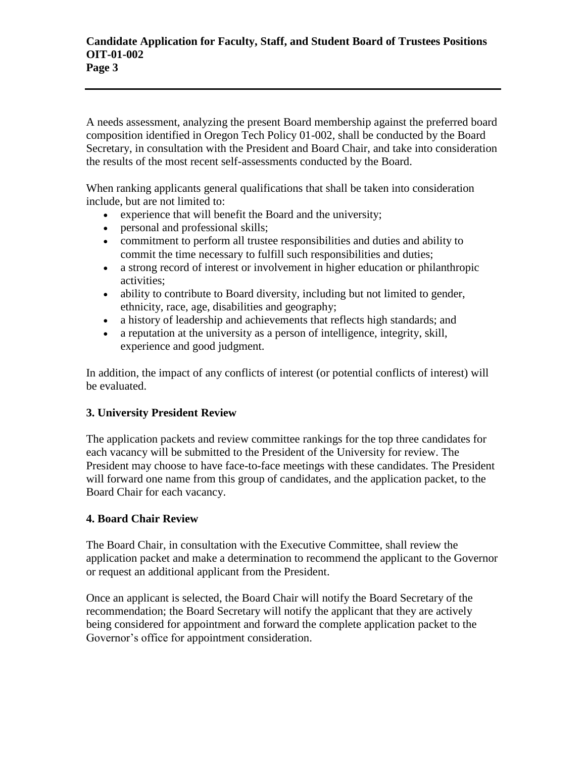A needs assessment, analyzing the present Board membership against the preferred board composition identified in Oregon Tech Policy 01-002, shall be conducted by the Board Secretary, in consultation with the President and Board Chair, and take into consideration the results of the most recent self-assessments conducted by the Board.

When ranking applicants general qualifications that shall be taken into consideration include, but are not limited to:

- experience that will benefit the Board and the university;
- personal and professional skills;
- commitment to perform all trustee responsibilities and duties and ability to commit the time necessary to fulfill such responsibilities and duties;
- a strong record of interest or involvement in higher education or philanthropic activities;
- ability to contribute to Board diversity, including but not limited to gender, ethnicity, race, age, disabilities and geography;
- a history of leadership and achievements that reflects high standards; and
- a reputation at the university as a person of intelligence, integrity, skill, experience and good judgment.

In addition, the impact of any conflicts of interest (or potential conflicts of interest) will be evaluated.

# **3. University President Review**

The application packets and review committee rankings for the top three candidates for each vacancy will be submitted to the President of the University for review. The President may choose to have face-to-face meetings with these candidates. The President will forward one name from this group of candidates, and the application packet, to the Board Chair for each vacancy.

### **4. Board Chair Review**

The Board Chair, in consultation with the Executive Committee, shall review the application packet and make a determination to recommend the applicant to the Governor or request an additional applicant from the President.

Once an applicant is selected, the Board Chair will notify the Board Secretary of the recommendation; the Board Secretary will notify the applicant that they are actively being considered for appointment and forward the complete application packet to the Governor's office for appointment consideration.